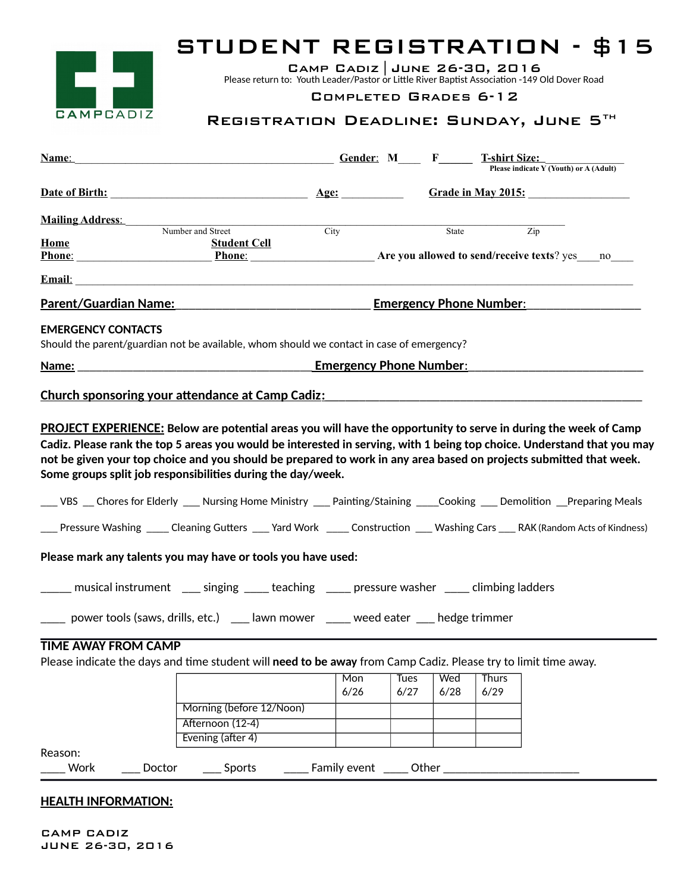

## STUDENT REGISTRATION - \$15

Camp Cadiz |June 26-30, 2016

Please return to: Youth Leader/Pastor or Little River Baptist Association -149 Old Dover Road

## COMPLETED GRADES 6-12

## REGISTRATION DEADLINE: SUNDAY, JUNE 5TH

| $G$ and $F$ and $G$ and $G$ and $F$ and $F$ and $F$ and $F$ and $F$ and $F$ and $F$ and $F$ and $F$ and $F$ and $F$ and $F$ and $F$ and $F$ and $F$ and $F$ and $F$ and $F$ and $F$ and $F$ and $F$ and $F$ and $F$ and $F$ a<br><b>Name:</b>                                                                |                          |                    | <b>T-shirt Size:</b><br>Please indicate Y (Youth) or A (Adult) |  |
|--------------------------------------------------------------------------------------------------------------------------------------------------------------------------------------------------------------------------------------------------------------------------------------------------------------|--------------------------|--------------------|----------------------------------------------------------------|--|
| Date of Birth: 2008 and 2008 and 2008 and 2008 and 2008 and 2008 and 2008 and 2008 and 2008 and 2008 and 2008 and 2008 and 2008 and 2008 and 2008 and 2008 and 2008 and 2008 and 2008 and 2008 and 2008 and 2008 and 2008 and                                                                                | $\overline{\text{Age:}}$ |                    | <b>Grade in May 2015:</b>                                      |  |
| <b>Mailing Address:</b>                                                                                                                                                                                                                                                                                      |                          |                    |                                                                |  |
| Number and Street                                                                                                                                                                                                                                                                                            | City                     | State              | Zip                                                            |  |
| Home<br><b>Student Cell</b>                                                                                                                                                                                                                                                                                  |                          |                    |                                                                |  |
| <b>Phone:</b> Phone: Phone: Phone: Phone: Phone: Are you allowed to send/receive texts? yes no                                                                                                                                                                                                               |                          |                    |                                                                |  |
|                                                                                                                                                                                                                                                                                                              |                          |                    |                                                                |  |
| Parent/Guardian Name: Emergency Phone Number:                                                                                                                                                                                                                                                                |                          |                    |                                                                |  |
| <b>EMERGENCY CONTACTS</b><br>Should the parent/guardian not be available, whom should we contact in case of emergency?                                                                                                                                                                                       |                          |                    |                                                                |  |
|                                                                                                                                                                                                                                                                                                              |                          |                    |                                                                |  |
| <b>Church sponsoring your attendance at Camp Cadiz:</b><br><b>PROJECT EXPERIENCE:</b> Below are potential areas you will have the opportunity to serve in during the week of Camp                                                                                                                            |                          |                    |                                                                |  |
| Cadiz. Please rank the top 5 areas you would be interested in serving, with 1 being top choice. Understand that you may<br>not be given your top choice and you should be prepared to work in any area based on projects submitted that week.<br>Some groups split job responsibilities during the day/week. |                          |                    |                                                                |  |
| ___ VBS __ Chores for Elderly ___ Nursing Home Ministry ___ Painting/Staining ____Cooking ___ Demolition __Preparing Meals                                                                                                                                                                                   |                          |                    |                                                                |  |
| ___ Pressure Washing _____ Cleaning Gutters ____ Yard Work _____ Construction ____ Washing Cars ___ RAK (Random Acts of Kindness)                                                                                                                                                                            |                          |                    |                                                                |  |
| Please mark any talents you may have or tools you have used:                                                                                                                                                                                                                                                 |                          |                    |                                                                |  |
| _____ musical instrument _____ singing ______ teaching ______ pressure washer ______ climbing ladders                                                                                                                                                                                                        |                          |                    |                                                                |  |
| ____ power tools (saws, drills, etc.) ___ lawn mower ____ weed eater ___ hedge trimmer                                                                                                                                                                                                                       |                          |                    |                                                                |  |
| <b>TIME AWAY FROM CAMP</b>                                                                                                                                                                                                                                                                                   |                          |                    |                                                                |  |
| Please indicate the days and time student will need to be away from Camp Cadiz. Please try to limit time away.                                                                                                                                                                                               |                          |                    |                                                                |  |
|                                                                                                                                                                                                                                                                                                              | Mon                      | Wed<br><b>Tues</b> | <b>Thurs</b>                                                   |  |
|                                                                                                                                                                                                                                                                                                              | 6/26                     | 6/28<br>6/27       | 6/29                                                           |  |
| Morning (before 12/Noon)                                                                                                                                                                                                                                                                                     |                          |                    |                                                                |  |
| Afternoon (12-4)                                                                                                                                                                                                                                                                                             |                          |                    |                                                                |  |
| Evening (after 4)                                                                                                                                                                                                                                                                                            |                          |                    |                                                                |  |
| Reason:                                                                                                                                                                                                                                                                                                      |                          |                    |                                                                |  |
| Work<br>Doctor<br>Sports                                                                                                                                                                                                                                                                                     | Family event             | Other              |                                                                |  |

**HEALTH INFORMATION:**

CAMP CADIZ JUNE 26-30, 2016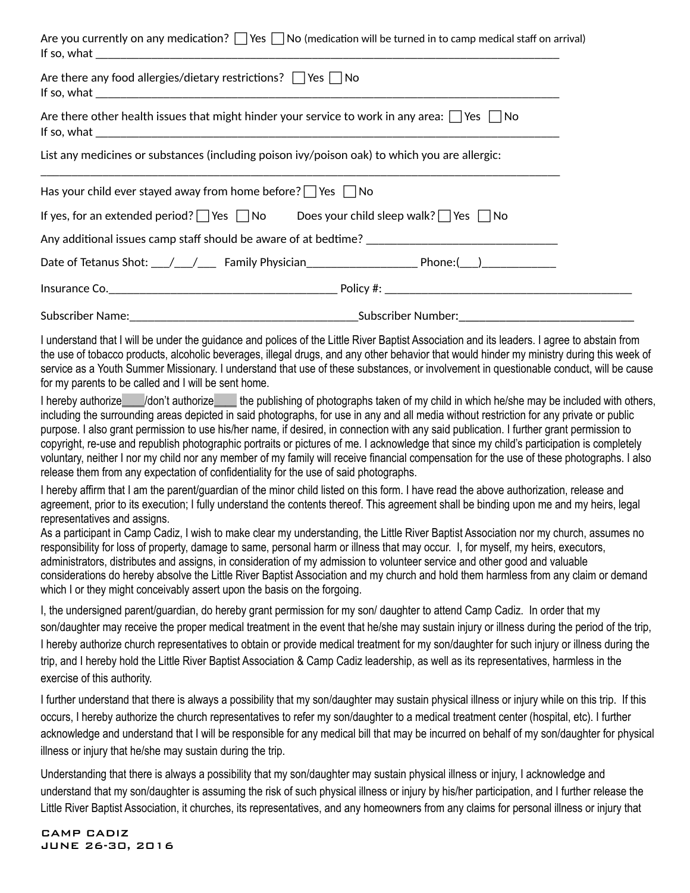| Are you currently on any medication? $\Box$ Yes $\Box$ No (medication will be turned in to camp medical staff on arrival)                                                                                                                                                                                                                                                                                                                                                                                                                                                                                                                                                                                                                                                                                              |
|------------------------------------------------------------------------------------------------------------------------------------------------------------------------------------------------------------------------------------------------------------------------------------------------------------------------------------------------------------------------------------------------------------------------------------------------------------------------------------------------------------------------------------------------------------------------------------------------------------------------------------------------------------------------------------------------------------------------------------------------------------------------------------------------------------------------|
| Are there any food allergies/dietary restrictions? $\Box$ Yes $\Box$ No                                                                                                                                                                                                                                                                                                                                                                                                                                                                                                                                                                                                                                                                                                                                                |
| Are there other health issues that might hinder your service to work in any area: $\Box$ Yes $\Box$ No                                                                                                                                                                                                                                                                                                                                                                                                                                                                                                                                                                                                                                                                                                                 |
| List any medicines or substances (including poison ivy/poison oak) to which you are allergic:                                                                                                                                                                                                                                                                                                                                                                                                                                                                                                                                                                                                                                                                                                                          |
| Has your child ever stayed away from home before? $\Box$ Yes $\Box$ No                                                                                                                                                                                                                                                                                                                                                                                                                                                                                                                                                                                                                                                                                                                                                 |
| If yes, for an extended period? $\Box$ Yes $\Box$ No Does your child sleep walk? $\Box$ Yes $\Box$ No                                                                                                                                                                                                                                                                                                                                                                                                                                                                                                                                                                                                                                                                                                                  |
|                                                                                                                                                                                                                                                                                                                                                                                                                                                                                                                                                                                                                                                                                                                                                                                                                        |
| Date of Tetanus Shot: \___/ \____/ Family Physician \___________________________ Phone:(\___) \_______________                                                                                                                                                                                                                                                                                                                                                                                                                                                                                                                                                                                                                                                                                                         |
|                                                                                                                                                                                                                                                                                                                                                                                                                                                                                                                                                                                                                                                                                                                                                                                                                        |
|                                                                                                                                                                                                                                                                                                                                                                                                                                                                                                                                                                                                                                                                                                                                                                                                                        |
| I understand that I will be under the guidance and polices of the Little River Baptist Association and its leaders. I agree to abstain from<br>the use of tobacco products, alcoholic beverages, illegal drugs, and any other behavior that would hinder my ministry during this week of<br>service as a Youth Summer Missionary. I understand that use of these substances, or involvement in questionable conduct, will be cause<br>for my parents to be called and I will be sent home.                                                                                                                                                                                                                                                                                                                             |
| I hereby authorize_____/don't authorize______ the publishing of photographs taken of my child in which he/she may be included with others,<br>including the surrounding areas depicted in said photographs, for use in any and all media without restriction for any private or public<br>purpose. I also grant permission to use his/her name, if desired, in connection with any said publication. I further grant permission to<br>copyright, re-use and republish photographic portraits or pictures of me. I acknowledge that since my child's participation is completely<br>voluntary, neither I nor my child nor any member of my family will receive financial compensation for the use of these photographs. I also<br>release them from any expectation of confidentiality for the use of said photographs. |
| I hereby affirm that I am the parent/guardian of the minor child listed on this form. I have read the above authorization, release and<br>agreement, prior to its execution; I fully understand the contents thereof. This agreement shall be binding upon me and my heirs, legal<br>representatives and assigns.                                                                                                                                                                                                                                                                                                                                                                                                                                                                                                      |

As a participant in Camp Cadiz, I wish to make clear my understanding, the Little River Baptist Association nor my church, assumes no responsibility for loss of property, damage to same, personal harm or illness that may occur. I, for myself, my heirs, executors, administrators, distributes and assigns, in consideration of my admission to volunteer service and other good and valuable considerations do hereby absolve the Little River Baptist Association and my church and hold them harmless from any claim or demand which I or they might conceivably assert upon the basis on the forgoing.

I, the undersigned parent/guardian, do hereby grant permission for my son/ daughter to attend Camp Cadiz. In order that my son/daughter may receive the proper medical treatment in the event that he/she may sustain injury or illness during the period of the trip, I hereby authorize church representatives to obtain or provide medical treatment for my son/daughter for such injury or illness during the trip, and I hereby hold the Little River Baptist Association & Camp Cadiz leadership, as well as its representatives, harmless in the exercise of this authority.

I further understand that there is always a possibility that my son/daughter may sustain physical illness or injury while on this trip. If this occurs, I hereby authorize the church representatives to refer my son/daughter to a medical treatment center (hospital, etc). I further acknowledge and understand that I will be responsible for any medical bill that may be incurred on behalf of my son/daughter for physical illness or injury that he/she may sustain during the trip.

Understanding that there is always a possibility that my son/daughter may sustain physical illness or injury, I acknowledge and understand that my son/daughter is assuming the risk of such physical illness or injury by his/her participation, and I further release the Little River Baptist Association, it churches, its representatives, and any homeowners from any claims for personal illness or injury that

CAMP CADIZ JUNE 26-30, 2016